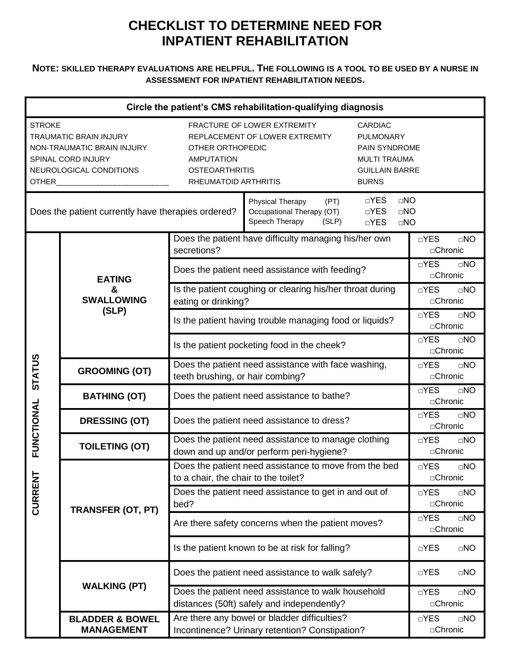## **CHECKLIST TO DETERMINE NEED FOR INPATIENT REHABILITATION**

## **NOTE: SKILLED THERAPY EVALUATIONS ARE HELPFUL. THE FOLLOWING IS A TOOL TO BE USED BY A NURSE IN ASSESSMENT FOR INPATIENT REHABILITATION NEEDS.**

| Circle the patient's CMS rehabilitation-qualifying diagnosis                                                                           |                                                    |                                                                                                                                                                   |                                                                                                 |                                                                                                              |                                     |  |  |  |
|----------------------------------------------------------------------------------------------------------------------------------------|----------------------------------------------------|-------------------------------------------------------------------------------------------------------------------------------------------------------------------|-------------------------------------------------------------------------------------------------|--------------------------------------------------------------------------------------------------------------|-------------------------------------|--|--|--|
| <b>STROKE</b><br>TRAUMATIC BRAIN INJURY<br>NON-TRAUMATIC BRAIN INJURY<br>SPINAL CORD INJURY<br>NEUROLOGICAL CONDITIONS<br><b>OTHER</b> |                                                    | <b>FRACTURE OF LOWER EXTREMITY</b><br>REPLACEMENT OF LOWER EXTREMITY<br>OTHER ORTHOPEDIC<br><b>AMPUTATION</b><br><b>OSTEOARTHRITIS</b><br>RHEUMATOID ARTHRITIS    |                                                                                                 | <b>CARDIAC</b><br>PULMONARY<br>PAIN SYNDROME<br><b>MULTI TRAUMA</b><br><b>GUILLAIN BARRE</b><br><b>BURNS</b> |                                     |  |  |  |
|                                                                                                                                        | Does the patient currently have therapies ordered? | $\Box NO$<br>$\neg$ YES<br>Physical Therapy<br>(PT)<br>Occupational Therapy (OT)<br>$\neg$ YES<br>$\Box NO$<br>Speech Therapy<br>(SLP)<br>$\neg$ YES<br>$\Box NO$ |                                                                                                 |                                                                                                              |                                     |  |  |  |
| <b>STATUS</b><br>FUNCTIONAL<br>CURRENT                                                                                                 | <b>EATING</b><br>&<br><b>SWALLOWING</b><br>(SLP)   | secretions?                                                                                                                                                       | Does the patient have difficulty managing his/her own                                           |                                                                                                              | $\neg$ YES<br>$\Box$ NO<br>□Chronic |  |  |  |
|                                                                                                                                        |                                                    | Does the patient need assistance with feeding?                                                                                                                    |                                                                                                 | $\neg$ YES<br>$\Box NO$<br>□Chronic                                                                          |                                     |  |  |  |
|                                                                                                                                        |                                                    | Is the patient coughing or clearing his/her throat during<br>eating or drinking?                                                                                  |                                                                                                 | $\neg$ YES<br>$\Box$ NO<br>□Chronic                                                                          |                                     |  |  |  |
|                                                                                                                                        |                                                    | Is the patient having trouble managing food or liquids?                                                                                                           |                                                                                                 |                                                                                                              | $\neg$ YES<br>$\Box NO$<br>□Chronic |  |  |  |
|                                                                                                                                        |                                                    | Is the patient pocketing food in the cheek?                                                                                                                       |                                                                                                 |                                                                                                              | $\neg$ YES<br>$\Box NO$<br>□Chronic |  |  |  |
|                                                                                                                                        | <b>GROOMING (OT)</b>                               | Does the patient need assistance with face washing,<br>teeth brushing, or hair combing?                                                                           |                                                                                                 | $\neg$ YES<br>$\Box NO$<br>□Chronic                                                                          |                                     |  |  |  |
|                                                                                                                                        | <b>BATHING (OT)</b>                                | Does the patient need assistance to bathe?                                                                                                                        |                                                                                                 | $\neg$ YES<br>$\Box$ NO<br>□Chronic                                                                          |                                     |  |  |  |
|                                                                                                                                        | <b>DRESSING (OT)</b>                               | Does the patient need assistance to dress?                                                                                                                        |                                                                                                 | $\neg$ YES<br>$\Box NO$<br>□Chronic                                                                          |                                     |  |  |  |
|                                                                                                                                        | <b>TOILETING (OT)</b>                              |                                                                                                                                                                   | Does the patient need assistance to manage clothing<br>down and up and/or perform peri-hygiene? |                                                                                                              | $\neg$ YES<br>$\Box$ NO<br>□Chronic |  |  |  |
|                                                                                                                                        | <b>TRANSFER (OT, PT)</b>                           | Does the patient need assistance to move from the bed<br>to a chair, the chair to the toilet?                                                                     |                                                                                                 | $\neg$ YES<br>$\Box$ NO<br>□Chronic                                                                          |                                     |  |  |  |
|                                                                                                                                        |                                                    | Does the patient need assistance to get in and out of<br>bed?                                                                                                     |                                                                                                 | □YES<br>$\Box$ NO<br>□Chronic                                                                                |                                     |  |  |  |
|                                                                                                                                        |                                                    | Are there safety concerns when the patient moves?                                                                                                                 |                                                                                                 | □YES<br>$\Box$ NO<br>□Chronic                                                                                |                                     |  |  |  |
|                                                                                                                                        |                                                    | Is the patient known to be at risk for falling?                                                                                                                   |                                                                                                 | $\neg$ YES<br>$\Box$ NO                                                                                      |                                     |  |  |  |
|                                                                                                                                        | <b>WALKING (PT)</b>                                | Does the patient need assistance to walk safely?                                                                                                                  |                                                                                                 | $\neg$ YES<br>$\Box$ NO                                                                                      |                                     |  |  |  |
|                                                                                                                                        |                                                    | Does the patient need assistance to walk household<br>distances (50ft) safely and independently?                                                                  |                                                                                                 | $\neg$ YES<br>$\Box NO$<br>□Chronic                                                                          |                                     |  |  |  |
|                                                                                                                                        | <b>BLADDER &amp; BOWEL</b><br><b>MANAGEMENT</b>    |                                                                                                                                                                   | Are there any bowel or bladder difficulties?<br>Incontinence? Urinary retention? Constipation?  |                                                                                                              | $\neg$ YES<br>$\Box$ NO<br>□Chronic |  |  |  |